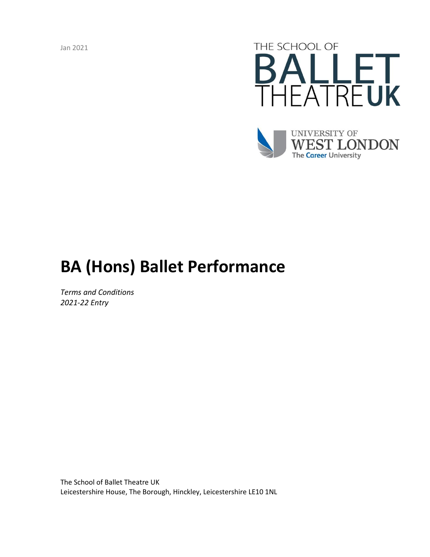Jan 2021





# **BA (Hons) Ballet Performance**

*Terms and Conditions 2021-22 Entry*

The School of Ballet Theatre UK Leicestershire House, The Borough, Hinckley, Leicestershire LE10 1NL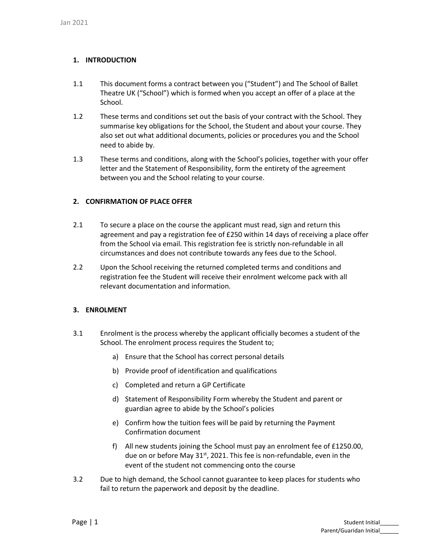# **1. INTRODUCTION**

- 1.1 This document forms a contract between you ("Student") and The School of Ballet Theatre UK ("School") which is formed when you accept an offer of a place at the School.
- 1.2 These terms and conditions set out the basis of your contract with the School. They summarise key obligations for the School, the Student and about your course. They also set out what additional documents, policies or procedures you and the School need to abide by.
- 1.3 These terms and conditions, along with the School's policies, together with your offer letter and the Statement of Responsibility, form the entirety of the agreement between you and the School relating to your course.

# **2. CONFIRMATION OF PLACE OFFER**

- 2.1 To secure a place on the course the applicant must read, sign and return this agreement and pay a registration fee of £250 within 14 days of receiving a place offer from the School via email. This registration fee is strictly non-refundable in all circumstances and does not contribute towards any fees due to the School.
- 2.2 Upon the School receiving the returned completed terms and conditions and registration fee the Student will receive their enrolment welcome pack with all relevant documentation and information.

## **3. ENROLMENT**

- 3.1 Enrolment is the process whereby the applicant officially becomes a student of the School. The enrolment process requires the Student to;
	- a) Ensure that the School has correct personal details
	- b) Provide proof of identification and qualifications
	- c) Completed and return a GP Certificate
	- d) Statement of Responsibility Form whereby the Student and parent or guardian agree to abide by the School's policies
	- e) Confirm how the tuition fees will be paid by returning the Payment Confirmation document
	- f) All new students joining the School must pay an enrolment fee of £1250.00, due on or before May 31<sup>st</sup>, 2021. This fee is non-refundable, even in the event of the student not commencing onto the course
- 3.2 Due to high demand, the School cannot guarantee to keep places for students who fail to return the paperwork and deposit by the deadline.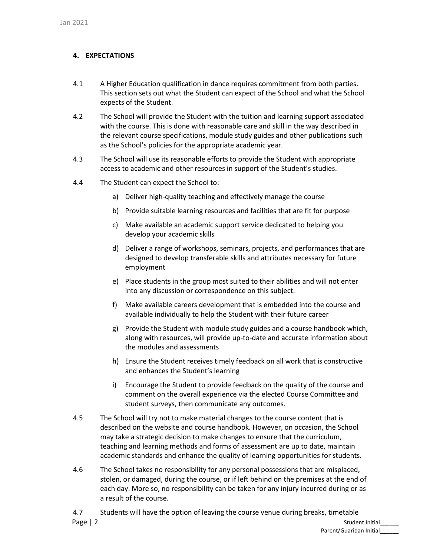# **4. EXPECTATIONS**

- 4.1 A Higher Education qualification in dance requires commitment from both parties. This section sets out what the Student can expect of the School and what the School expects of the Student.
- 4.2 The School will provide the Student with the tuition and learning support associated with the course. This is done with reasonable care and skill in the way described in the relevant course specifications, module study guides and other publications such as the School's policies for the appropriate academic year.
- 4.3 The School will use its reasonable efforts to provide the Student with appropriate access to academic and other resources in support of the Student's studies.
- 4.4 The Student can expect the School to:
	- a) Deliver high-quality teaching and effectively manage the course
	- b) Provide suitable learning resources and facilities that are fit for purpose
	- c) Make available an academic support service dedicated to helping you develop your academic skills
	- d) Deliver a range of workshops, seminars, projects, and performances that are designed to develop transferable skills and attributes necessary for future employment
	- e) Place students in the group most suited to their abilities and will not enter into any discussion or correspondence on this subject.
	- f) Make available careers development that is embedded into the course and available individually to help the Student with their future career
	- g) Provide the Student with module study guides and a course handbook which, along with resources, will provide up-to-date and accurate information about the modules and assessments
	- h) Ensure the Student receives timely feedback on all work that is constructive and enhances the Student's learning
	- i) Encourage the Student to provide feedback on the quality of the course and comment on the overall experience via the elected Course Committee and student surveys, then communicate any outcomes.
- 4.5 The School will try not to make material changes to the course content that is described on the website and course handbook. However, on occasion, the School may take a strategic decision to make changes to ensure that the curriculum, teaching and learning methods and forms of assessment are up to date, maintain academic standards and enhance the quality of learning opportunities for students.
- 4.6 The School takes no responsibility for any personal possessions that are misplaced, stolen, or damaged, during the course, or if left behind on the premises at the end of each day. More so, no responsibility can be taken for any injury incurred during or as a result of the course.
- Page | 2 Student Initial\_\_\_\_\_\_ 4.7 Students will have the option of leaving the course venue during breaks, timetable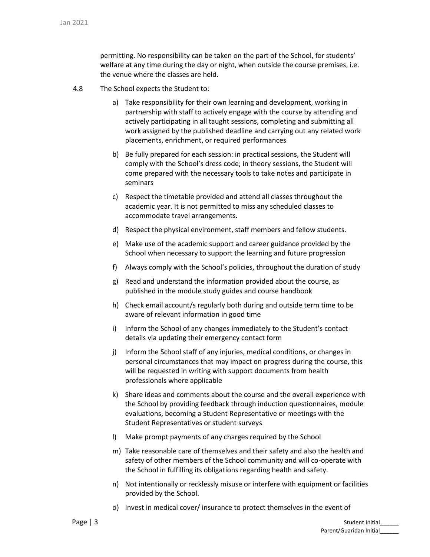permitting. No responsibility can be taken on the part of the School, for students' welfare at any time during the day or night, when outside the course premises, i.e. the venue where the classes are held.

- 4.8 The School expects the Student to:
	- a) Take responsibility for their own learning and development, working in partnership with staff to actively engage with the course by attending and actively participating in all taught sessions, completing and submitting all work assigned by the published deadline and carrying out any related work placements, enrichment, or required performances
	- b) Be fully prepared for each session: in practical sessions, the Student will comply with the School's dress code; in theory sessions, the Student will come prepared with the necessary tools to take notes and participate in seminars
	- c) Respect the timetable provided and attend all classes throughout the academic year. It is not permitted to miss any scheduled classes to accommodate travel arrangements.
	- d) Respect the physical environment, staff members and fellow students.
	- e) Make use of the academic support and career guidance provided by the School when necessary to support the learning and future progression
	- f) Always comply with the School's policies, throughout the duration of study
	- g) Read and understand the information provided about the course, as published in the module study guides and course handbook
	- h) Check email account/s regularly both during and outside term time to be aware of relevant information in good time
	- i) Inform the School of any changes immediately to the Student's contact details via updating their emergency contact form
	- j) Inform the School staff of any injuries, medical conditions, or changes in personal circumstances that may impact on progress during the course, this will be requested in writing with support documents from health professionals where applicable
	- k) Share ideas and comments about the course and the overall experience with the School by providing feedback through induction questionnaires, module evaluations, becoming a Student Representative or meetings with the Student Representatives or student surveys
	- l) Make prompt payments of any charges required by the School
	- m) Take reasonable care of themselves and their safety and also the health and safety of other members of the School community and will co-operate with the School in fulfilling its obligations regarding health and safety.
	- n) Not intentionally or recklessly misuse or interfere with equipment or facilities provided by the School.
	- o) Invest in medical cover/ insurance to protect themselves in the event of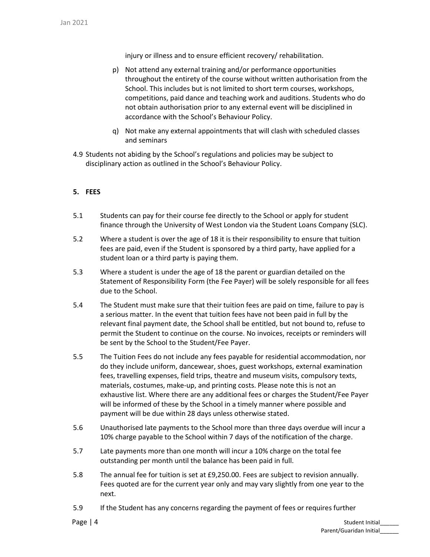injury or illness and to ensure efficient recovery/ rehabilitation.

- p) Not attend any external training and/or performance opportunities throughout the entirety of the course without written authorisation from the School. This includes but is not limited to short term courses, workshops, competitions, paid dance and teaching work and auditions. Students who do not obtain authorisation prior to any external event will be disciplined in accordance with the School's Behaviour Policy.
- q) Not make any external appointments that will clash with scheduled classes and seminars
- 4.9 Students not abiding by the School's regulations and policies may be subject to disciplinary action as outlined in the School's Behaviour Policy.

## **5. FEES**

- 5.1 Students can pay for their course fee directly to the School or apply for student finance through the University of West London via the Student Loans Company (SLC).
- 5.2 Where a student is over the age of 18 it is their responsibility to ensure that tuition fees are paid, even if the Student is sponsored by a third party, have applied for a student loan or a third party is paying them.
- 5.3 Where a student is under the age of 18 the parent or guardian detailed on the Statement of Responsibility Form (the Fee Payer) will be solely responsible for all fees due to the School.
- 5.4 The Student must make sure that their tuition fees are paid on time, failure to pay is a serious matter. In the event that tuition fees have not been paid in full by the relevant final payment date, the School shall be entitled, but not bound to, refuse to permit the Student to continue on the course. No invoices, receipts or reminders will be sent by the School to the Student/Fee Payer.
- 5.5 The Tuition Fees do not include any fees payable for residential accommodation, nor do they include uniform, dancewear, shoes, guest workshops, external examination fees, travelling expenses, field trips, theatre and museum visits, compulsory texts, materials, costumes, make-up, and printing costs. Please note this is not an exhaustive list. Where there are any additional fees or charges the Student/Fee Payer will be informed of these by the School in a timely manner where possible and payment will be due within 28 days unless otherwise stated.
- 5.6 Unauthorised late payments to the School more than three days overdue will incur a 10% charge payable to the School within 7 days of the notification of the charge.
- 5.7 Late payments more than one month will incur a 10% charge on the total fee outstanding per month until the balance has been paid in full.
- 5.8 The annual fee for tuition is set at £9,250.00. Fees are subject to revision annually. Fees quoted are for the current year only and may vary slightly from one year to the next.
- 5.9 If the Student has any concerns regarding the payment of fees or requires further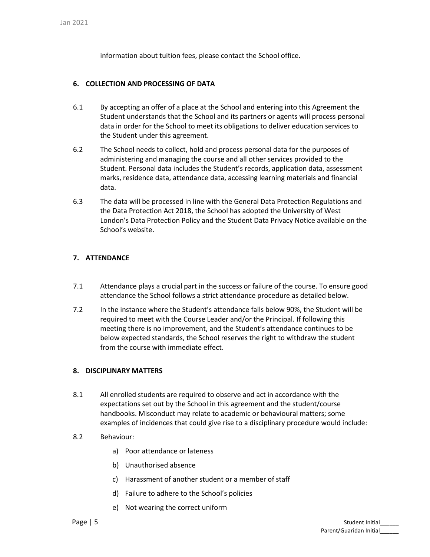information about tuition fees, please contact the School office.

## **6. COLLECTION AND PROCESSING OF DATA**

- 6.1 By accepting an offer of a place at the School and entering into this Agreement the Student understands that the School and its partners or agents will process personal data in order for the School to meet its obligations to deliver education services to the Student under this agreement.
- 6.2 The School needs to collect, hold and process personal data for the purposes of administering and managing the course and all other services provided to the Student. Personal data includes the Student's records, application data, assessment marks, residence data, attendance data, accessing learning materials and financial data.
- 6.3 The data will be processed in line with the General Data Protection Regulations and the Data Protection Act 2018, the School has adopted the University of West London's Data Protection Policy and the Student Data Privacy Notice available on the School's website.

## **7. ATTENDANCE**

- 7.1 Attendance plays a crucial part in the success or failure of the course. To ensure good attendance the School follows a strict attendance procedure as detailed below.
- 7.2 In the instance where the Student's attendance falls below 90%, the Student will be required to meet with the Course Leader and/or the Principal. If following this meeting there is no improvement, and the Student's attendance continues to be below expected standards, the School reserves the right to withdraw the student from the course with immediate effect.

## **8. DISCIPLINARY MATTERS**

- 8.1 All enrolled students are required to observe and act in accordance with the expectations set out by the School in this agreement and the student/course handbooks. Misconduct may relate to academic or behavioural matters; some examples of incidences that could give rise to a disciplinary procedure would include:
- 8.2 Behaviour:
	- a) Poor attendance or lateness
	- b) Unauthorised absence
	- c) Harassment of another student or a member of staff
	- d) Failure to adhere to the School's policies
	- e) Not wearing the correct uniform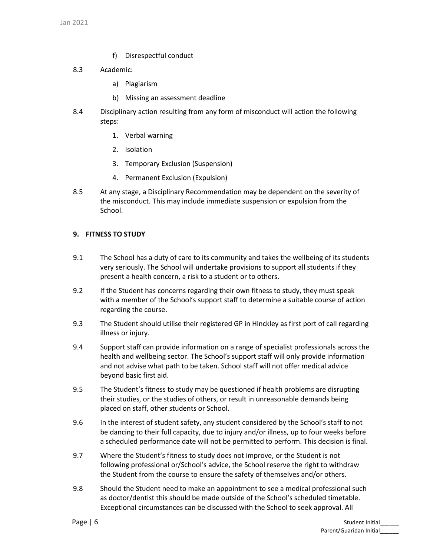- f) Disrespectful conduct
- 8.3 Academic:
	- a) Plagiarism
	- b) Missing an assessment deadline
- 8.4 Disciplinary action resulting from any form of misconduct will action the following steps:
	- 1. Verbal warning
	- 2. Isolation
	- 3. Temporary Exclusion (Suspension)
	- 4. Permanent Exclusion (Expulsion)
- 8.5 At any stage, a Disciplinary Recommendation may be dependent on the severity of the misconduct. This may include immediate suspension or expulsion from the School.

## **9. FITNESS TO STUDY**

- 9.1 The School has a duty of care to its community and takes the wellbeing of its students very seriously. The School will undertake provisions to support all students if they present a health concern, a risk to a student or to others.
- 9.2 If the Student has concerns regarding their own fitness to study, they must speak with a member of the School's support staff to determine a suitable course of action regarding the course.
- 9.3 The Student should utilise their registered GP in Hinckley as first port of call regarding illness or injury.
- 9.4 Support staff can provide information on a range of specialist professionals across the health and wellbeing sector. The School's support staff will only provide information and not advise what path to be taken. School staff will not offer medical advice beyond basic first aid.
- 9.5 The Student's fitness to study may be questioned if health problems are disrupting their studies, or the studies of others, or result in unreasonable demands being placed on staff, other students or School.
- 9.6 In the interest of student safety, any student considered by the School's staff to not be dancing to their full capacity, due to injury and/or illness, up to four weeks before a scheduled performance date will not be permitted to perform. This decision is final.
- 9.7 Where the Student's fitness to study does not improve, or the Student is not following professional or/School's advice, the School reserve the right to withdraw the Student from the course to ensure the safety of themselves and/or others.
- 9.8 Should the Student need to make an appointment to see a medical professional such as doctor/dentist this should be made outside of the School's scheduled timetable. Exceptional circumstances can be discussed with the School to seek approval. All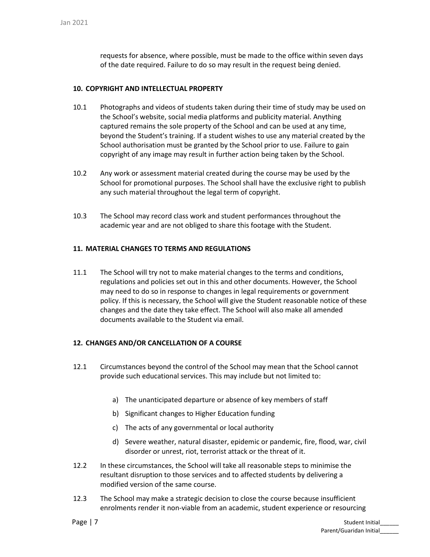requests for absence, where possible, must be made to the office within seven days of the date required. Failure to do so may result in the request being denied.

## **10. COPYRIGHT AND INTELLECTUAL PROPERTY**

- 10.1 Photographs and videos of students taken during their time of study may be used on the School's website, social media platforms and publicity material. Anything captured remains the sole property of the School and can be used at any time, beyond the Student's training. If a student wishes to use any material created by the School authorisation must be granted by the School prior to use. Failure to gain copyright of any image may result in further action being taken by the School.
- 10.2 Any work or assessment material created during the course may be used by the School for promotional purposes. The School shall have the exclusive right to publish any such material throughout the legal term of copyright.
- 10.3 The School may record class work and student performances throughout the academic year and are not obliged to share this footage with the Student.

## **11. MATERIAL CHANGES TO TERMS AND REGULATIONS**

11.1 The School will try not to make material changes to the terms and conditions, regulations and policies set out in this and other documents. However, the School may need to do so in response to changes in legal requirements or government policy. If this is necessary, the School will give the Student reasonable notice of these changes and the date they take effect. The School will also make all amended documents available to the Student via email.

## **12. CHANGES AND/OR CANCELLATION OF A COURSE**

- 12.1 Circumstances beyond the control of the School may mean that the School cannot provide such educational services. This may include but not limited to:
	- a) The unanticipated departure or absence of key members of staff
	- b) Significant changes to Higher Education funding
	- c) The acts of any governmental or local authority
	- d) Severe weather, natural disaster, epidemic or pandemic, fire, flood, war, civil disorder or unrest, riot, terrorist attack or the threat of it.
- 12.2 In these circumstances, the School will take all reasonable steps to minimise the resultant disruption to those services and to affected students by delivering a modified version of the same course.
- 12.3 The School may make a strategic decision to close the course because insufficient enrolments render it non-viable from an academic, student experience or resourcing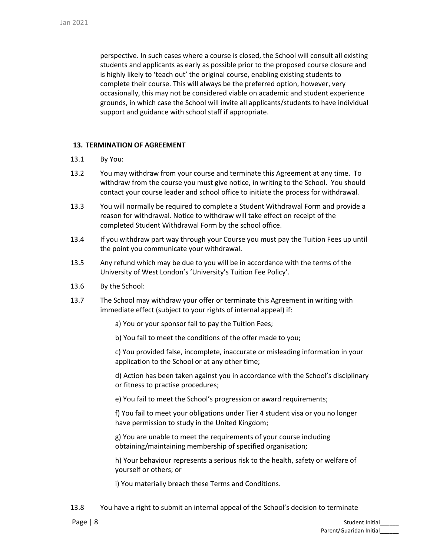perspective. In such cases where a course is closed, the School will consult all existing students and applicants as early as possible prior to the proposed course closure and is highly likely to 'teach out' the original course, enabling existing students to complete their course. This will always be the preferred option, however, very occasionally, this may not be considered viable on academic and student experience grounds, in which case the School will invite all applicants/students to have individual support and guidance with school staff if appropriate.

## **13. TERMINATION OF AGREEMENT**

- 13.1 By You:
- 13.2 You may withdraw from your course and terminate this Agreement at any time. To withdraw from the course you must give notice, in writing to the School. You should contact your course leader and school office to initiate the process for withdrawal.
- 13.3 You will normally be required to complete a Student Withdrawal Form and provide a reason for withdrawal. Notice to withdraw will take effect on receipt of the completed Student Withdrawal Form by the school office.
- 13.4 If you withdraw part way through your Course you must pay the Tuition Fees up until the point you communicate your withdrawal.
- 13.5 Any refund which may be due to you will be in accordance with the terms of the University of West London's 'University's Tuition Fee Policy'.
- 13.6 By the School:
- 13.7 The School may withdraw your offer or terminate this Agreement in writing with immediate effect (subject to your rights of internal appeal) if:
	- a) You or your sponsor fail to pay the Tuition Fees;
	- b) You fail to meet the conditions of the offer made to you;

c) You provided false, incomplete, inaccurate or misleading information in your application to the School or at any other time;

d) Action has been taken against you in accordance with the School's disciplinary or fitness to practise procedures;

e) You fail to meet the School's progression or award requirements;

f) You fail to meet your obligations under Tier 4 student visa or you no longer have permission to study in the United Kingdom;

g) You are unable to meet the requirements of your course including obtaining/maintaining membership of specified organisation;

h) Your behaviour represents a serious risk to the health, safety or welfare of yourself or others; or

i) You materially breach these Terms and Conditions.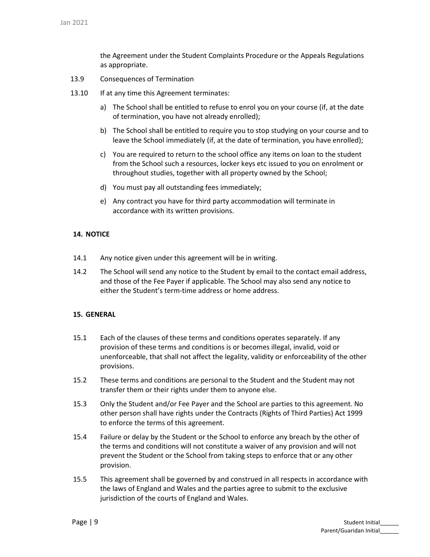the Agreement under the Student Complaints Procedure or the Appeals Regulations as appropriate.

- 13.9 Consequences of Termination
- 13.10 If at any time this Agreement terminates:
	- a) The School shall be entitled to refuse to enrol you on your course (if, at the date of termination, you have not already enrolled);
	- b) The School shall be entitled to require you to stop studying on your course and to leave the School immediately (if, at the date of termination, you have enrolled);
	- c) You are required to return to the school office any items on loan to the student from the School such a resources, locker keys etc issued to you on enrolment or throughout studies, together with all property owned by the School;
	- d) You must pay all outstanding fees immediately;
	- e) Any contract you have for third party accommodation will terminate in accordance with its written provisions.

#### **14. NOTICE**

- 14.1 Any notice given under this agreement will be in writing.
- 14.2 The School will send any notice to the Student by email to the contact email address, and those of the Fee Payer if applicable. The School may also send any notice to either the Student's term-time address or home address.

## **15. GENERAL**

- 15.1 Each of the clauses of these terms and conditions operates separately. If any provision of these terms and conditions is or becomes illegal, invalid, void or unenforceable, that shall not affect the legality, validity or enforceability of the other provisions.
- 15.2 These terms and conditions are personal to the Student and the Student may not transfer them or their rights under them to anyone else.
- 15.3 Only the Student and/or Fee Payer and the School are parties to this agreement. No other person shall have rights under the Contracts (Rights of Third Parties) Act 1999 to enforce the terms of this agreement.
- 15.4 Failure or delay by the Student or the School to enforce any breach by the other of the terms and conditions will not constitute a waiver of any provision and will not prevent the Student or the School from taking steps to enforce that or any other provision.
- 15.5 This agreement shall be governed by and construed in all respects in accordance with the laws of England and Wales and the parties agree to submit to the exclusive jurisdiction of the courts of England and Wales.